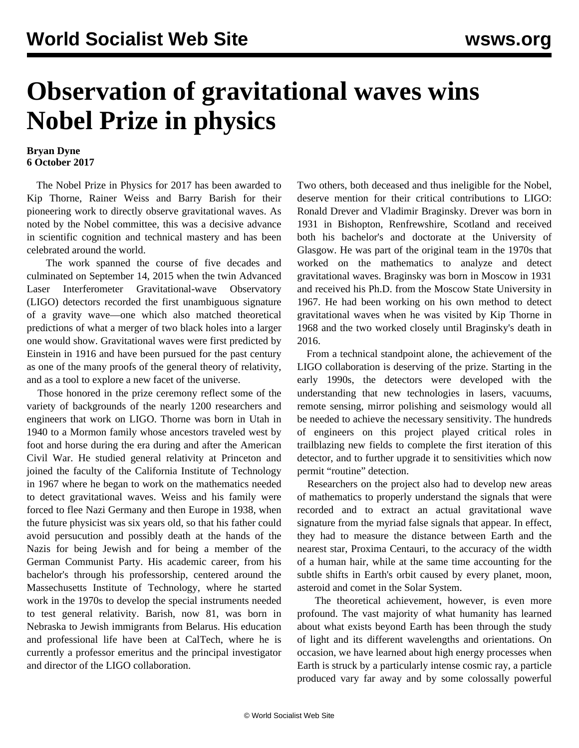## **Observation of gravitational waves wins Nobel Prize in physics**

## **Bryan Dyne 6 October 2017**

 The Nobel Prize in Physics for 2017 has been awarded to Kip Thorne, Rainer Weiss and Barry Barish for their pioneering work to directly observe gravitational waves. As noted by the Nobel committee, this was a decisive advance in scientific cognition and technical mastery and has been celebrated around the world.

 The work spanned the course of five decades and culminated on September 14, 2015 when the twin Advanced Laser Interferometer Gravitational-wave Observatory (LIGO) detectors recorded the first unambiguous signature of a gravity wave—one which also matched theoretical predictions of what a merger of two black holes into a larger one would show. Gravitational waves were first predicted by Einstein in 1916 and have been pursued for the past century as one of the many proofs of the general theory of relativity, and as a tool to explore a new facet of the universe.

 Those honored in the prize ceremony reflect some of the variety of backgrounds of the nearly 1200 researchers and engineers that work on LIGO. Thorne was born in Utah in 1940 to a Mormon family whose ancestors traveled west by foot and horse during the era during and after the American Civil War. He studied general relativity at Princeton and joined the faculty of the California Institute of Technology in 1967 where he began to work on the mathematics needed to detect gravitational waves. Weiss and his family were forced to flee Nazi Germany and then Europe in 1938, when the future physicist was six years old, so that his father could avoid persucution and possibly death at the hands of the Nazis for being Jewish and for being a member of the German Communist Party. His academic career, from his bachelor's through his professorship, centered around the Massechusetts Institute of Technology, where he started work in the 1970s to develop the special instruments needed to test general relativity. Barish, now 81, was born in Nebraska to Jewish immigrants from Belarus. His education and professional life have been at CalTech, where he is currently a professor emeritus and the principal investigator and director of the LIGO collaboration.

Two others, both deceased and thus ineligible for the Nobel, deserve mention for their critical contributions to LIGO: Ronald Drever and Vladimir Braginsky. Drever was born in 1931 in Bishopton, Renfrewshire, Scotland and received both his bachelor's and doctorate at the University of Glasgow. He was part of the original team in the 1970s that worked on the mathematics to analyze and detect gravitational waves. Braginsky was born in Moscow in 1931 and received his Ph.D. from the Moscow State University in 1967. He had been working on his own method to detect gravitational waves when he was visited by Kip Thorne in 1968 and the two worked closely until Braginsky's death in 2016.

 From a technical standpoint alone, the achievement of the LIGO collaboration is deserving of the prize. Starting in the early 1990s, the detectors were developed with the understanding that new technologies in lasers, vacuums, remote sensing, mirror polishing and seismology would all be needed to achieve the necessary sensitivity. The hundreds of engineers on this project played critical roles in trailblazing new fields to complete the first iteration of this detector, and to further upgrade it to sensitivities which now permit "routine" detection.

 Researchers on the project also had to develop new areas of mathematics to properly understand the signals that were recorded and to extract an actual gravitational wave signature from the myriad false signals that appear. In effect, they had to measure the distance between Earth and the nearest star, Proxima Centauri, to the accuracy of the width of a human hair, while at the same time accounting for the subtle shifts in Earth's orbit caused by every planet, moon, asteroid and comet in the Solar System.

 The theoretical achievement, however, is even more profound. The vast majority of what humanity has learned about what exists beyond Earth has been through the study of light and its different wavelengths and orientations. On occasion, we have learned about high energy processes when Earth is struck by a particularly intense cosmic ray, a particle produced vary far away and by some colossally powerful